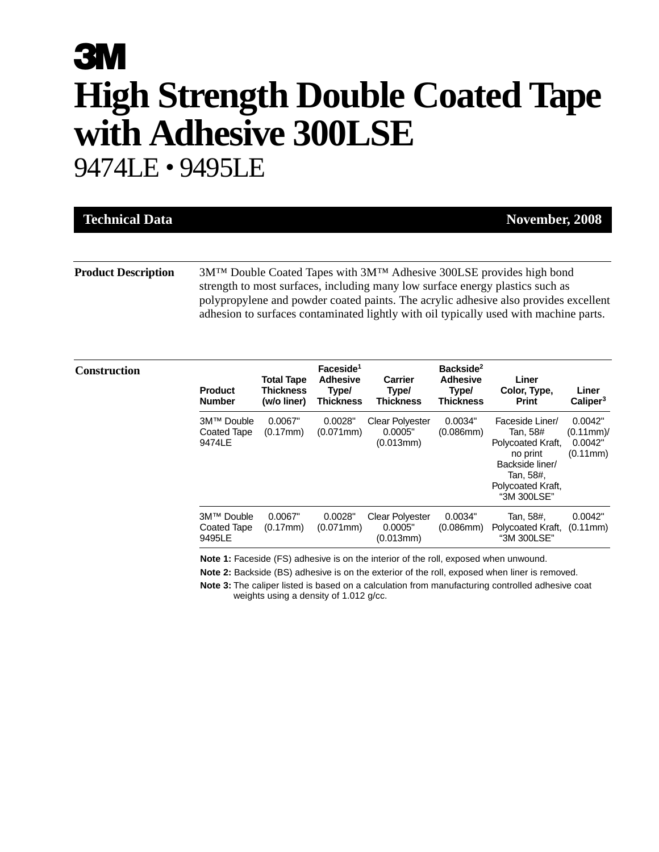# **3M High Strength Double Coated Tape with Adhesive 300LSE** 9474LE • 9495LE

| <b>Technical Data</b>      | November, 2008                                                                                                                                                                                                                                                                                                                                                  |
|----------------------------|-----------------------------------------------------------------------------------------------------------------------------------------------------------------------------------------------------------------------------------------------------------------------------------------------------------------------------------------------------------------|
|                            |                                                                                                                                                                                                                                                                                                                                                                 |
| <b>Product Description</b> | 3M <sup>TM</sup> Double Coated Tapes with 3M <sup>TM</sup> Adhesive 300LSE provides high bond<br>strength to most surfaces, including many low surface energy plastics such as<br>polypropylene and powder coated paints. The acrylic adhesive also provides excellent<br>adhesion to surfaces contaminated lightly with oil typically used with machine parts. |

| Construction |
|--------------|
|--------------|

| Construction | <b>Product</b><br><b>Number</b>     | <b>Total Tape</b><br>Thickness<br>(w/o liner) | Faceside <sup>1</sup><br><b>Adhesive</b><br>Type/<br><b>Thickness</b> | <b>Carrier</b><br>Type/<br><b>Thickness</b>    | Backside <sup>2</sup><br><b>Adhesive</b><br>Type/<br><b>Thickness</b> | Liner<br>Color, Type,<br><b>Print</b>                                                                                            | Liner<br>Caliper <sup>3</sup>                  |
|--------------|-------------------------------------|-----------------------------------------------|-----------------------------------------------------------------------|------------------------------------------------|-----------------------------------------------------------------------|----------------------------------------------------------------------------------------------------------------------------------|------------------------------------------------|
|              | 3M™ Double<br>Coated Tape<br>9474LE | 0.0067"<br>(0.17mm)                           | 0.0028"<br>$(0.071$ mm $)$                                            | <b>Clear Polyester</b><br>0.0005"<br>(0.013mm) | 0.0034"<br>$(0.086$ mm $)$                                            | Faceside Liner/<br>Tan, 58#<br>Polycoated Kraft,<br>no print<br>Backside liner/<br>Tan, 58#,<br>Polycoated Kraft,<br>"3M 300LSE" | 0.0042"<br>$(0.11mm)$ /<br>0.0042"<br>(0.11mm) |
|              | 3M™ Double<br>Coated Tape<br>9495LE | 0.0067"<br>(0.17mm)                           | 0.0028"<br>$(0.071$ mm $)$                                            | <b>Clear Polyester</b><br>0.0005"<br>(0.013mm) | 0.0034"<br>$(0.086$ mm $)$                                            | Tan, 58#,<br>Polycoated Kraft,<br>"3M 300LSE"                                                                                    | 0.0042"<br>(0.11mm)                            |

**Note 1:** Faceside (FS) adhesive is on the interior of the roll, exposed when unwound.

**Note 2:** Backside (BS) adhesive is on the exterior of the roll, exposed when liner is removed.

**Note 3:** The caliper listed is based on a calculation from manufacturing controlled adhesive coat weights using a density of 1.012 g/cc.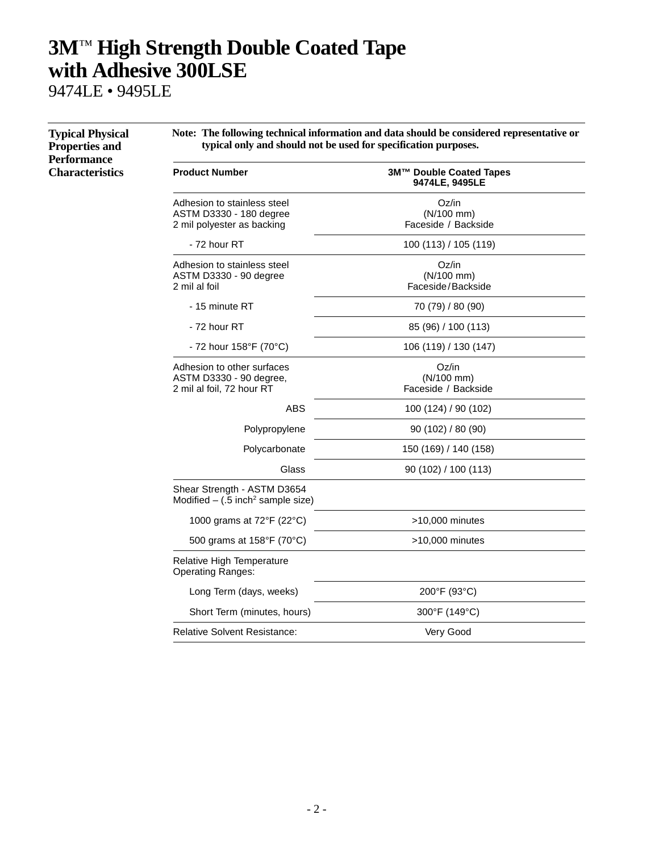9474LE • 9495LE

| <b>Typical Physical</b><br><b>Properties and</b><br><b>Performance</b> | Note: The following technical information and data should be considered representative or<br>typical only and should not be used for specification purposes. |                                              |  |  |  |
|------------------------------------------------------------------------|--------------------------------------------------------------------------------------------------------------------------------------------------------------|----------------------------------------------|--|--|--|
| <b>Characteristics</b>                                                 | <b>Product Number</b>                                                                                                                                        | 3M™ Double Coated Tapes<br>9474LE, 9495LE    |  |  |  |
|                                                                        | Adhesion to stainless steel<br>ASTM D3330 - 180 degree<br>2 mil polyester as backing                                                                         | Oz/in<br>(N/100 mm)<br>Faceside / Backside   |  |  |  |
|                                                                        | - 72 hour RT                                                                                                                                                 | 100 (113) / 105 (119)                        |  |  |  |
|                                                                        | Adhesion to stainless steel<br>ASTM D3330 - 90 degree<br>2 mil al foil                                                                                       | Oz/in<br>(N/100 mm)<br>Faceside/Backside     |  |  |  |
|                                                                        | - 15 minute RT                                                                                                                                               | 70 (79) / 80 (90)                            |  |  |  |
|                                                                        | - 72 hour RT                                                                                                                                                 | 85 (96) / 100 (113)                          |  |  |  |
|                                                                        | - 72 hour $158^{\circ}$ F (70 $^{\circ}$ C)                                                                                                                  | 106 (119) / 130 (147)                        |  |  |  |
|                                                                        | Adhesion to other surfaces<br>ASTM D3330 - 90 degree,<br>2 mil al foil, 72 hour RT                                                                           | Oz/in<br>$(N/100$ mm)<br>Faceside / Backside |  |  |  |
|                                                                        | <b>ABS</b>                                                                                                                                                   | 100 (124) / 90 (102)                         |  |  |  |
|                                                                        | Polypropylene                                                                                                                                                | 90 (102) / 80 (90)                           |  |  |  |
|                                                                        | Polycarbonate                                                                                                                                                | 150 (169) / 140 (158)                        |  |  |  |
|                                                                        | Glass                                                                                                                                                        | 90 (102) / 100 (113)                         |  |  |  |
|                                                                        | Shear Strength - ASTM D3654<br>Modified $-$ (.5 inch <sup>2</sup> sample size)                                                                               |                                              |  |  |  |
|                                                                        | 1000 grams at 72°F (22°C)                                                                                                                                    | >10,000 minutes                              |  |  |  |
|                                                                        | 500 grams at 158°F (70°C)                                                                                                                                    | $>10,000$ minutes                            |  |  |  |
|                                                                        | Relative High Temperature<br><b>Operating Ranges:</b>                                                                                                        |                                              |  |  |  |
|                                                                        | Long Term (days, weeks)                                                                                                                                      | 200°F (93°C)                                 |  |  |  |
|                                                                        | Short Term (minutes, hours)                                                                                                                                  | 300°F (149°C)                                |  |  |  |
|                                                                        | <b>Relative Solvent Resistance:</b>                                                                                                                          | Very Good                                    |  |  |  |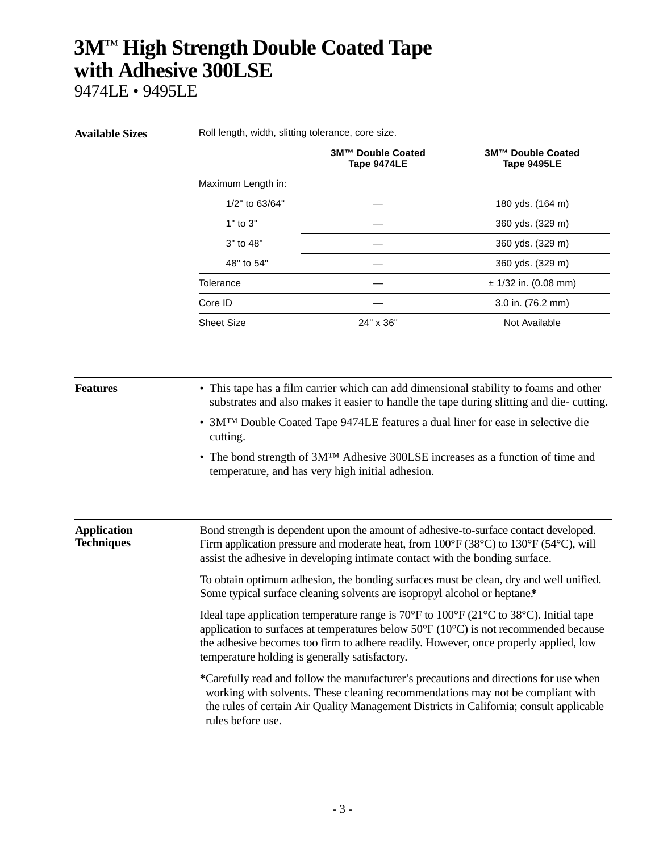9474LE • 9495LE

| <b>Available Sizes</b>                  | Roll length, width, slitting tolerance, core size.                                                                                                                                                                                                                                                                                                                 |                                                                                                                                                 |                                  |  |  |
|-----------------------------------------|--------------------------------------------------------------------------------------------------------------------------------------------------------------------------------------------------------------------------------------------------------------------------------------------------------------------------------------------------------------------|-------------------------------------------------------------------------------------------------------------------------------------------------|----------------------------------|--|--|
|                                         |                                                                                                                                                                                                                                                                                                                                                                    | 3M™ Double Coated<br>Tape 9474LE                                                                                                                | 3M™ Double Coated<br>Tape 9495LE |  |  |
|                                         | Maximum Length in:                                                                                                                                                                                                                                                                                                                                                 |                                                                                                                                                 |                                  |  |  |
|                                         | 1/2" to 63/64"                                                                                                                                                                                                                                                                                                                                                     |                                                                                                                                                 | 180 yds. (164 m)                 |  |  |
|                                         | 1" to 3"                                                                                                                                                                                                                                                                                                                                                           |                                                                                                                                                 | 360 yds. (329 m)                 |  |  |
|                                         | 3" to 48"                                                                                                                                                                                                                                                                                                                                                          |                                                                                                                                                 | 360 yds. (329 m)                 |  |  |
|                                         | 48" to 54"                                                                                                                                                                                                                                                                                                                                                         |                                                                                                                                                 | 360 yds. (329 m)                 |  |  |
|                                         | Tolerance                                                                                                                                                                                                                                                                                                                                                          |                                                                                                                                                 | $± 1/32$ in. (0.08 mm)           |  |  |
|                                         | Core ID                                                                                                                                                                                                                                                                                                                                                            |                                                                                                                                                 | 3.0 in. (76.2 mm)                |  |  |
|                                         | <b>Sheet Size</b>                                                                                                                                                                                                                                                                                                                                                  | 24" x 36"                                                                                                                                       | Not Available                    |  |  |
|                                         |                                                                                                                                                                                                                                                                                                                                                                    |                                                                                                                                                 |                                  |  |  |
| <b>Features</b>                         | • This tape has a film carrier which can add dimensional stability to foams and other<br>substrates and also makes it easier to handle the tape during slitting and die-cutting.                                                                                                                                                                                   |                                                                                                                                                 |                                  |  |  |
|                                         | • 3MTM Double Coated Tape 9474LE features a dual liner for ease in selective die<br>cutting.                                                                                                                                                                                                                                                                       |                                                                                                                                                 |                                  |  |  |
|                                         |                                                                                                                                                                                                                                                                                                                                                                    | • The bond strength of 3M <sup>TM</sup> Adhesive 300LSE increases as a function of time and<br>temperature, and has very high initial adhesion. |                                  |  |  |
| <b>Application</b><br><b>Techniques</b> | Bond strength is dependent upon the amount of adhesive-to-surface contact developed.<br>Firm application pressure and moderate heat, from $100^{\circ}F(38^{\circ}C)$ to $130^{\circ}F(54^{\circ}C)$ , will<br>assist the adhesive in developing intimate contact with the bonding surface.                                                                        |                                                                                                                                                 |                                  |  |  |
|                                         | To obtain optimum adhesion, the bonding surfaces must be clean, dry and well unified.<br>Some typical surface cleaning solvents are isopropyl alcohol or heptane.*                                                                                                                                                                                                 |                                                                                                                                                 |                                  |  |  |
|                                         | Ideal tape application temperature range is $70^{\circ}$ F to $100^{\circ}$ F (21 $^{\circ}$ C to 38 $^{\circ}$ C). Initial tape<br>application to surfaces at temperatures below 50°F (10°C) is not recommended because<br>the adhesive becomes too firm to adhere readily. However, once properly applied, low<br>temperature holding is generally satisfactory. |                                                                                                                                                 |                                  |  |  |
|                                         | *Carefully read and follow the manufacturer's precautions and directions for use when<br>working with solvents. These cleaning recommendations may not be compliant with<br>the rules of certain Air Quality Management Districts in California; consult applicable<br>rules before use.                                                                           |                                                                                                                                                 |                                  |  |  |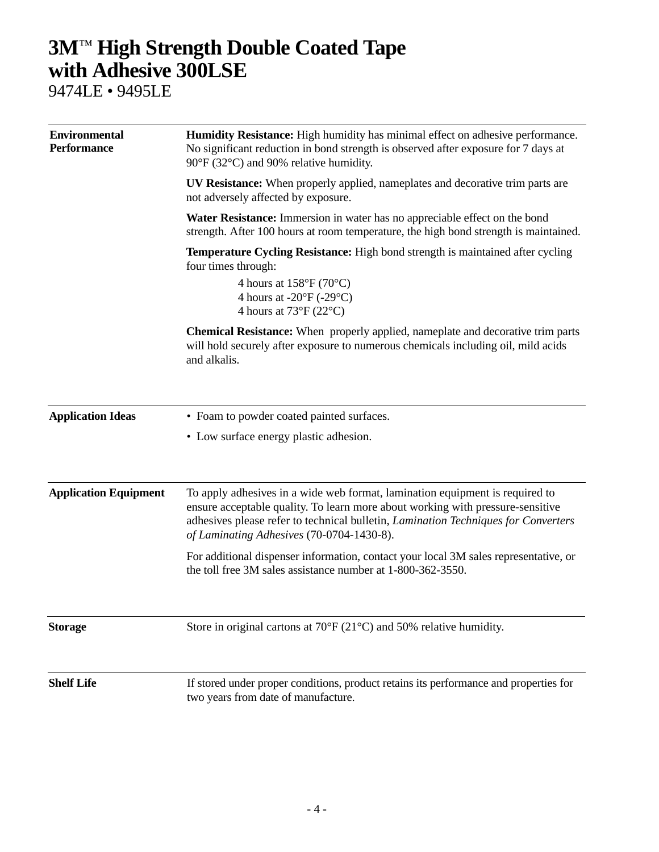9474LE • 9495LE

| <b>Environmental</b><br><b>Performance</b> | <b>Humidity Resistance:</b> High humidity has minimal effect on adhesive performance.<br>No significant reduction in bond strength is observed after exposure for 7 days at<br>90°F (32°C) and 90% relative humidity.                                                                             |
|--------------------------------------------|---------------------------------------------------------------------------------------------------------------------------------------------------------------------------------------------------------------------------------------------------------------------------------------------------|
|                                            | <b>UV Resistance:</b> When properly applied, nameplates and decorative trim parts are<br>not adversely affected by exposure.                                                                                                                                                                      |
|                                            | Water Resistance: Immersion in water has no appreciable effect on the bond<br>strength. After 100 hours at room temperature, the high bond strength is maintained.                                                                                                                                |
|                                            | Temperature Cycling Resistance: High bond strength is maintained after cycling<br>four times through:                                                                                                                                                                                             |
|                                            | 4 hours at $158^{\circ}F(70^{\circ}C)$<br>4 hours at $-20^{\circ}F(-29^{\circ}C)$<br>4 hours at $73^{\circ}F(22^{\circ}C)$                                                                                                                                                                        |
|                                            | Chemical Resistance: When properly applied, nameplate and decorative trim parts<br>will hold securely after exposure to numerous chemicals including oil, mild acids<br>and alkalis.                                                                                                              |
| <b>Application Ideas</b>                   | • Foam to powder coated painted surfaces.                                                                                                                                                                                                                                                         |
|                                            | • Low surface energy plastic adhesion.                                                                                                                                                                                                                                                            |
| <b>Application Equipment</b>               | To apply adhesives in a wide web format, lamination equipment is required to<br>ensure acceptable quality. To learn more about working with pressure-sensitive<br>adhesives please refer to technical bulletin, Lamination Techniques for Converters<br>of Laminating Adhesives (70-0704-1430-8). |
|                                            | For additional dispenser information, contact your local 3M sales representative, or<br>the toll free 3M sales assistance number at 1-800-362-3550.                                                                                                                                               |
| <b>Storage</b>                             | Store in original cartons at $70^{\circ}F(21^{\circ}C)$ and 50% relative humidity.                                                                                                                                                                                                                |
| <b>Shelf Life</b>                          | If stored under proper conditions, product retains its performance and properties for<br>two years from date of manufacture.                                                                                                                                                                      |